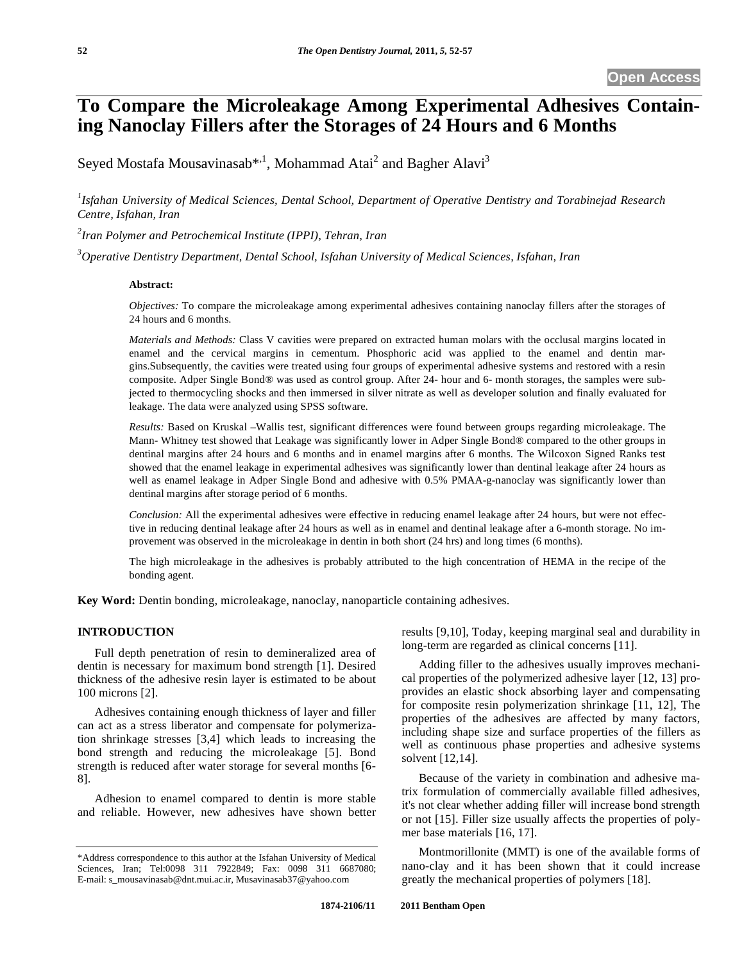# **To Compare the Microleakage Among Experimental Adhesives Containing Nanoclay Fillers after the Storages of 24 Hours and 6 Months**

Seyed Mostafa Mousavinasab\*<sup>,1</sup>, Mohammad Atai<sup>2</sup> and Bagher Alavi<sup>3</sup>

*1 Isfahan University of Medical Sciences, Dental School, Department of Operative Dentistry and Torabinejad Research Centre, Isfahan, Iran* 

*2 Iran Polymer and Petrochemical Institute (IPPI), Tehran, Iran* 

*3 Operative Dentistry Department, Dental School, Isfahan University of Medical Sciences, Isfahan, Iran*

#### **Abstract:**

*Objectives:* To compare the microleakage among experimental adhesives containing nanoclay fillers after the storages of 24 hours and 6 months.

*Materials and Methods:* Class V cavities were prepared on extracted human molars with the occlusal margins located in enamel and the cervical margins in cementum. Phosphoric acid was applied to the enamel and dentin margins.Subsequently, the cavities were treated using four groups of experimental adhesive systems and restored with a resin composite. Adper Single Bond® was used as control group. After 24- hour and 6- month storages, the samples were subjected to thermocycling shocks and then immersed in silver nitrate as well as developer solution and finally evaluated for leakage. The data were analyzed using SPSS software.

*Results:* Based on Kruskal –Wallis test, significant differences were found between groups regarding microleakage. The Mann- Whitney test showed that Leakage was significantly lower in Adper Single Bond® compared to the other groups in dentinal margins after 24 hours and 6 months and in enamel margins after 6 months. The Wilcoxon Signed Ranks test showed that the enamel leakage in experimental adhesives was significantly lower than dentinal leakage after 24 hours as well as enamel leakage in Adper Single Bond and adhesive with 0.5% PMAA-g-nanoclay was significantly lower than dentinal margins after storage period of 6 months.

*Conclusion:* All the experimental adhesives were effective in reducing enamel leakage after 24 hours, but were not effective in reducing dentinal leakage after 24 hours as well as in enamel and dentinal leakage after a 6-month storage. No improvement was observed in the microleakage in dentin in both short (24 hrs) and long times (6 months).

The high microleakage in the adhesives is probably attributed to the high concentration of HEMA in the recipe of the bonding agent.

**Key Word:** Dentin bonding, microleakage, nanoclay, nanoparticle containing adhesives.

#### **INTRODUCTION**

Full depth penetration of resin to demineralized area of dentin is necessary for maximum bond strength [1]. Desired thickness of the adhesive resin layer is estimated to be about 100 microns [2].

Adhesives containing enough thickness of layer and filler can act as a stress liberator and compensate for polymerization shrinkage stresses [3,4] which leads to increasing the bond strength and reducing the microleakage [5]. Bond strength is reduced after water storage for several months [6- 8].

Adhesion to enamel compared to dentin is more stable and reliable. However, new adhesives have shown better results [9,10], Today, keeping marginal seal and durability in long-term are regarded as clinical concerns [11].

Adding filler to the adhesives usually improves mechanical properties of the polymerized adhesive layer [12, 13] proprovides an elastic shock absorbing layer and compensating for composite resin polymerization shrinkage [11, 12], The properties of the adhesives are affected by many factors, including shape size and surface properties of the fillers as well as continuous phase properties and adhesive systems solvent [12,14].

Because of the variety in combination and adhesive matrix formulation of commercially available filled adhesives, it's not clear whether adding filler will increase bond strength or not [15]. Filler size usually affects the properties of polymer base materials [16, 17].

Montmorillonite (MMT) is one of the available forms of nano-clay and it has been shown that it could increase greatly the mechanical properties of polymers [18].

<sup>\*</sup>Address correspondence to this author at the Isfahan University of Medical Sciences, Iran; Tel:0098 311 7922849; Fax: 0098 311 6687080; E-mail: s\_mousavinasab@dnt.mui.ac.ir, Musavinasab37@yahoo.com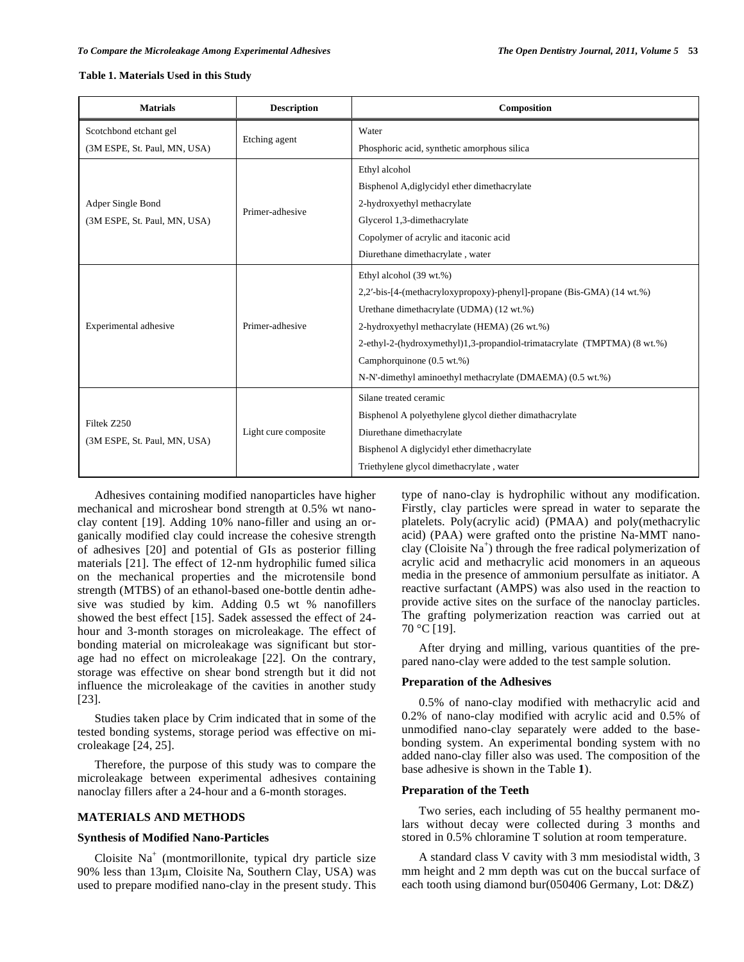#### **Table 1. Materials Used in this Study**

| <b>Matrials</b>              | <b>Description</b>   | Composition                                                              |  |  |  |
|------------------------------|----------------------|--------------------------------------------------------------------------|--|--|--|
| Scotchbond etchant gel       | Etching agent        | Water                                                                    |  |  |  |
| (3M ESPE, St. Paul, MN, USA) |                      | Phosphoric acid, synthetic amorphous silica                              |  |  |  |
|                              |                      | Ethyl alcohol                                                            |  |  |  |
|                              | Primer-adhesive      | Bisphenol A, diglycidyl ether dimethacrylate                             |  |  |  |
| Adper Single Bond            |                      | 2-hydroxyethyl methacrylate                                              |  |  |  |
| (3M ESPE, St. Paul, MN, USA) |                      | Glycerol 1,3-dimethacrylate                                              |  |  |  |
|                              |                      | Copolymer of acrylic and itaconic acid                                   |  |  |  |
|                              |                      | Diurethane dimethacrylate, water                                         |  |  |  |
|                              |                      | Ethyl alcohol (39 wt.%)                                                  |  |  |  |
|                              | Primer-adhesive      | 2,2'-bis-[4-(methacryloxypropoxy)-phenyl]-propane (Bis-GMA) (14 wt.%)    |  |  |  |
|                              |                      | Urethane dimethacrylate (UDMA) (12 wt.%)                                 |  |  |  |
| Experimental adhesive        |                      | 2-hydroxyethyl methacrylate (HEMA) (26 wt.%)                             |  |  |  |
|                              |                      | 2-ethyl-2-(hydroxymethyl)1,3-propandiol-trimatacrylate (TMPTMA) (8 wt.%) |  |  |  |
|                              |                      | Camphorquinone (0.5 wt.%)                                                |  |  |  |
|                              |                      | N-N'-dimethyl aminoethyl methacrylate (DMAEMA) (0.5 wt.%)                |  |  |  |
|                              | Light cure composite | Silane treated ceramic                                                   |  |  |  |
| Filtek Z250                  |                      | Bisphenol A polyethylene glycol diether dimathacrylate                   |  |  |  |
|                              |                      | Diurethane dimethacrylate                                                |  |  |  |
| (3M ESPE, St. Paul, MN, USA) |                      | Bisphenol A diglycidyl ether dimethacrylate                              |  |  |  |
|                              |                      | Triethylene glycol dimethacrylate, water                                 |  |  |  |

Adhesives containing modified nanoparticles have higher mechanical and microshear bond strength at 0.5% wt nanoclay content [19]. Adding 10% nano-filler and using an organically modified clay could increase the cohesive strength of adhesives [20] and potential of GIs as posterior filling materials [21]. The effect of 12-nm hydrophilic fumed silica on the mechanical properties and the microtensile bond strength (MTBS) of an ethanol-based one-bottle dentin adhesive was studied by kim. Adding 0.5 wt % nanofillers showed the best effect [15]. Sadek assessed the effect of 24 hour and 3-month storages on microleakage. The effect of bonding material on microleakage was significant but storage had no effect on microleakage [22]. On the contrary, storage was effective on shear bond strength but it did not influence the microleakage of the cavities in another study [23].

Studies taken place by Crim indicated that in some of the tested bonding systems, storage period was effective on microleakage [24, 25].

Therefore, the purpose of this study was to compare the microleakage between experimental adhesives containing nanoclay fillers after a 24-hour and a 6-month storages.

### **MATERIALS AND METHODS**

#### **Synthesis of Modified Nano-Particles**

Cloisite Na+ (montmorillonite, typical dry particle size 90% less than 13um, Cloisite Na, Southern Clay, USA) was used to prepare modified nano-clay in the present study. This

type of nano-clay is hydrophilic without any modification. Firstly, clay particles were spread in water to separate the platelets. Poly(acrylic acid) (PMAA) and poly(methacrylic acid) (PAA) were grafted onto the pristine Na-MMT nanoclay (Cloisite Na<sup>+</sup> ) through the free radical polymerization of acrylic acid and methacrylic acid monomers in an aqueous media in the presence of ammonium persulfate as initiator. A reactive surfactant (AMPS) was also used in the reaction to provide active sites on the surface of the nanoclay particles. The grafting polymerization reaction was carried out at 70 °C [19].

After drying and milling, various quantities of the prepared nano-clay were added to the test sample solution.

## **Preparation of the Adhesives**

0.5% of nano-clay modified with methacrylic acid and 0.2% of nano-clay modified with acrylic acid and 0.5% of unmodified nano-clay separately were added to the basebonding system. An experimental bonding system with no added nano-clay filler also was used. The composition of the base adhesive is shown in the Table **1**).

## **Preparation of the Teeth**

Two series, each including of 55 healthy permanent molars without decay were collected during 3 months and stored in 0.5% chloramine T solution at room temperature.

A standard class V cavity with 3 mm mesiodistal width, 3 mm height and 2 mm depth was cut on the buccal surface of each tooth using diamond bur(050406 Germany, Lot: D&Z)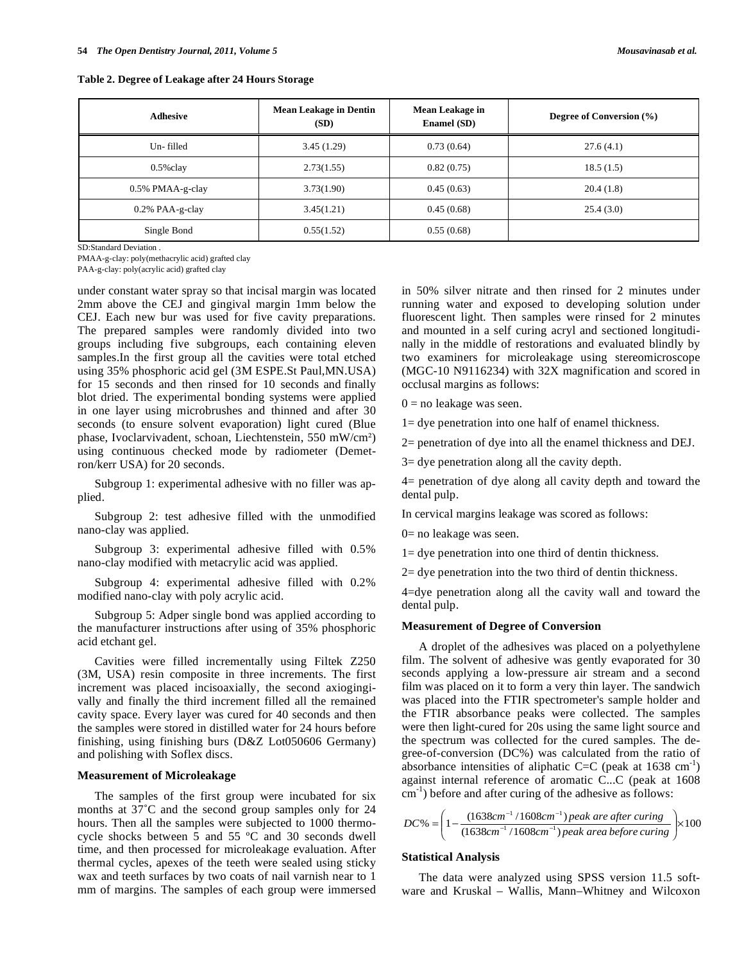|  |  |  |  | Table 2. Degree of Leakage after 24 Hours Storage |
|--|--|--|--|---------------------------------------------------|
|  |  |  |  |                                                   |

| <b>Adhesive</b>    | <b>Mean Leakage in Dentin</b><br>(SD) | Mean Leakage in<br><b>Enamel</b> (SD) | Degree of Conversion (%) |  |
|--------------------|---------------------------------------|---------------------------------------|--------------------------|--|
| Un-filled          | 3.45(1.29)                            | 0.73(0.64)                            | 27.6(4.1)                |  |
| $0.5\%$ clay       | 2.73(1.55)                            | 0.82(0.75)                            | 18.5(1.5)                |  |
| 0.5% PMAA-g-clay   | 3.73(1.90)                            | 0.45(0.63)                            | 20.4(1.8)                |  |
| $0.2\%$ PAA-g-clay | 3.45(1.21)                            | 0.45(0.68)                            | 25.4(3.0)                |  |
| Single Bond        | 0.55(1.52)                            | 0.55(0.68)                            |                          |  |

SD:Standard Deviation .

PMAA-g-clay: poly(methacrylic acid) grafted clay

PAA-g-clay: poly(acrylic acid) grafted clay

under constant water spray so that incisal margin was located 2mm above the CEJ and gingival margin 1mm below the CEJ. Each new bur was used for five cavity preparations. The prepared samples were randomly divided into two groups including five subgroups, each containing eleven samples.In the first group all the cavities were total etched using 35% phosphoric acid gel (3M ESPE.St Paul,MN.USA) for 15 seconds and then rinsed for 10 seconds and finally blot dried. The experimental bonding systems were applied in one layer using microbrushes and thinned and after 30 seconds (to ensure solvent evaporation) light cured (Blue phase, Ivoclarvivadent, schoan, Liechtenstein, 550 mW/cm) using continuous checked mode by radiometer (Demetron/kerr USA) for 20 seconds.

Subgroup 1: experimental adhesive with no filler was applied.

Subgroup 2: test adhesive filled with the unmodified nano-clay was applied.

Subgroup 3: experimental adhesive filled with 0.5% nano-clay modified with metacrylic acid was applied.

Subgroup 4: experimental adhesive filled with 0.2% modified nano-clay with poly acrylic acid.

Subgroup 5: Adper single bond was applied according to the manufacturer instructions after using of 35% phosphoric acid etchant gel.

Cavities were filled incrementally using Filtek Z250 (3M, USA) resin composite in three increments. The first increment was placed incisoaxially, the second axiogingivally and finally the third increment filled all the remained cavity space. Every layer was cured for 40 seconds and then the samples were stored in distilled water for 24 hours before finishing, using finishing burs (D&Z Lot050606 Germany) and polishing with Soflex discs.

## **Measurement of Microleakage**

The samples of the first group were incubated for six months at 37˚C and the second group samples only for 24 hours. Then all the samples were subjected to 1000 thermocycle shocks between 5 and 55 ºC and 30 seconds dwell time, and then processed for microleakage evaluation. After thermal cycles, apexes of the teeth were sealed using sticky wax and teeth surfaces by two coats of nail varnish near to 1 mm of margins. The samples of each group were immersed in 50% silver nitrate and then rinsed for 2 minutes under running water and exposed to developing solution under fluorescent light. Then samples were rinsed for 2 minutes and mounted in a self curing acryl and sectioned longitudinally in the middle of restorations and evaluated blindly by two examiners for microleakage using stereomicroscope (MGC-10 N9116234) with 32X magnification and scored in occlusal margins as follows:

 $0 =$  no leakage was seen.

1= dye penetration into one half of enamel thickness.

2= penetration of dye into all the enamel thickness and DEJ.

3= dye penetration along all the cavity depth.

4= penetration of dye along all cavity depth and toward the dental pulp.

In cervical margins leakage was scored as follows:

0= no leakage was seen.

1= dye penetration into one third of dentin thickness.

2= dye penetration into the two third of dentin thickness.

4=dye penetration along all the cavity wall and toward the dental pulp.

#### **Measurement of Degree of Conversion**

A droplet of the adhesives was placed on a polyethylene film. The solvent of adhesive was gently evaporated for 30 seconds applying a low-pressure air stream and a second film was placed on it to form a very thin layer. The sandwich was placed into the FTIR spectrometer's sample holder and the FTIR absorbance peaks were collected. The samples were then light-cured for 20s using the same light source and the spectrum was collected for the cured samples. The degree-of-conversion (DC%) was calculated from the ratio of absorbance intensities of aliphatic C=C (peak at  $1638 \text{ cm}^{-1}$ ) against internal reference of aromatic C...C (peak at 1608  $cm<sup>-1</sup>$ ) before and after curing of the adhesive as follows:

$$
DC\% = \left(1 - \frac{(1638cm^{-1}/1608cm^{-1}) peak are after curing}{(1638cm^{-1}/1608cm^{-1}) peak area before curing}\right) \times 100
$$

#### **Statistical Analysis**

The data were analyzed using SPSS version 11.5 software and Kruskal – Wallis, Mann–Whitney and Wilcoxon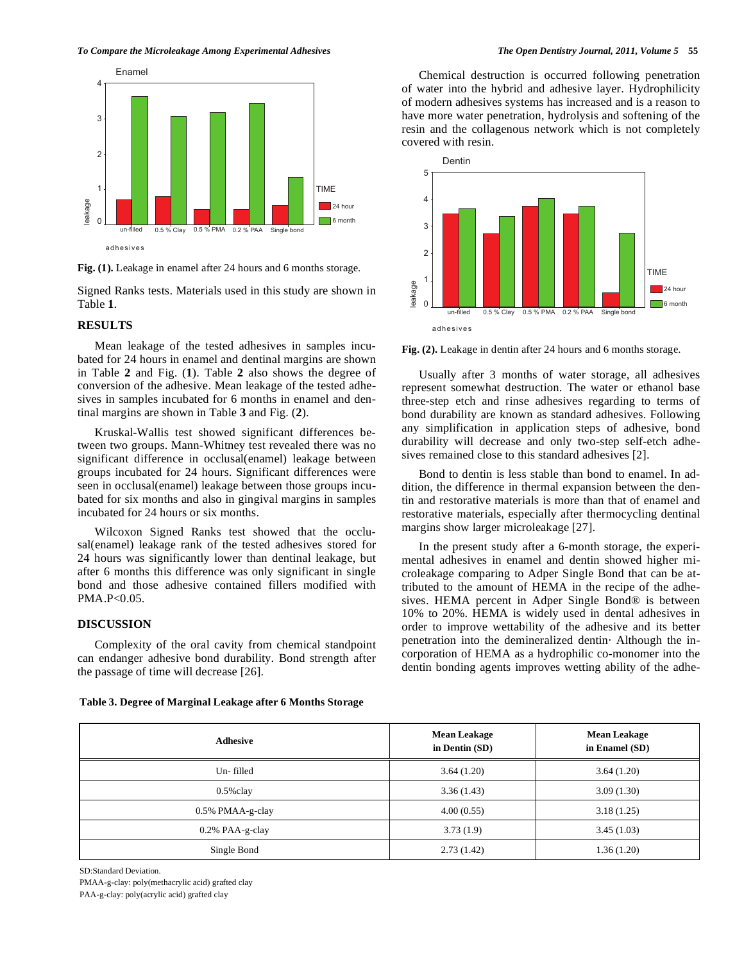*To Compare the Microleakage Among Experimental Adhesives The Open Dentistry Journal, 2011, Volume 5* **55**



**Fig. (1).** Leakage in enamel after 24 hours and 6 months storage.

Signed Ranks tests. Materials used in this study are shown in Table **1**.

#### **RESULTS**

Mean leakage of the tested adhesives in samples incubated for 24 hours in enamel and dentinal margins are shown in Table **2** and Fig. (**1**). Table **2** also shows the degree of conversion of the adhesive. Mean leakage of the tested adhesives in samples incubated for 6 months in enamel and dentinal margins are shown in Table **3** and Fig. (**2**).

Kruskal-Wallis test showed significant differences between two groups. Mann-Whitney test revealed there was no significant difference in occlusal(enamel) leakage between groups incubated for 24 hours. Significant differences were seen in occlusal(enamel) leakage between those groups incubated for six months and also in gingival margins in samples incubated for 24 hours or six months.

Wilcoxon Signed Ranks test showed that the occlusal(enamel) leakage rank of the tested adhesives stored for 24 hours was significantly lower than dentinal leakage, but after 6 months this difference was only significant in single bond and those adhesive contained fillers modified with PMA.P<0.05.

## **DISCUSSION**

Complexity of the oral cavity from chemical standpoint can endanger adhesive bond durability. Bond strength after the passage of time will decrease [26].

|  |  | Table 3. Degree of Marginal Leakage after 6 Months Storage |  |  |
|--|--|------------------------------------------------------------|--|--|
|  |  |                                                            |  |  |

Chemical destruction is occurred following penetration of water into the hybrid and adhesive layer. Hydrophilicity of modern adhesives systems has increased and is a reason to have more water penetration, hydrolysis and softening of the resin and the collagenous network which is not completely covered with resin.



**Fig. (2).** Leakage in dentin after 24 hours and 6 months storage.

Usually after 3 months of water storage, all adhesives represent somewhat destruction. The water or ethanol base three-step etch and rinse adhesives regarding to terms of bond durability are known as standard adhesives. Following any simplification in application steps of adhesive, bond durability will decrease and only two-step self-etch adhesives remained close to this standard adhesives [2].

Bond to dentin is less stable than bond to enamel. In addition, the difference in thermal expansion between the dentin and restorative materials is more than that of enamel and restorative materials, especially after thermocycling dentinal margins show larger microleakage [27].

In the present study after a 6-month storage, the experimental adhesives in enamel and dentin showed higher microleakage comparing to Adper Single Bond that can be attributed to the amount of HEMA in the recipe of the adhesives. HEMA percent in Adper Single Bond® is between 10% to 20%. HEMA is widely used in dental adhesives in order to improve wettability of the adhesive and its better penetration into the demineralized dentin· Although the incorporation of HEMA as a hydrophilic co-monomer into the dentin bonding agents improves wetting ability of the adhe-

| <b>Adhesive</b>    | <b>Mean Leakage</b><br>in Dentin (SD) | <b>Mean Leakage</b><br>in Enamel (SD) |  |  |
|--------------------|---------------------------------------|---------------------------------------|--|--|
| Un-filled          | 3.64(1.20)                            | 3.64(1.20)                            |  |  |
| $0.5\%$ clay       | 3.36(1.43)                            | 3.09(1.30)                            |  |  |
| 0.5% PMAA-g-clay   | 4.00(0.55)                            | 3.18(1.25)                            |  |  |
| $0.2\%$ PAA-g-clay | 3.73(1.9)                             | 3.45(1.03)                            |  |  |
| Single Bond        | 2.73(1.42)                            | 1.36(1.20)                            |  |  |

SD:Standard Deviation.

PMAA-g-clay: poly(methacrylic acid) grafted clay

PAA-g-clay: poly(acrylic acid) grafted clay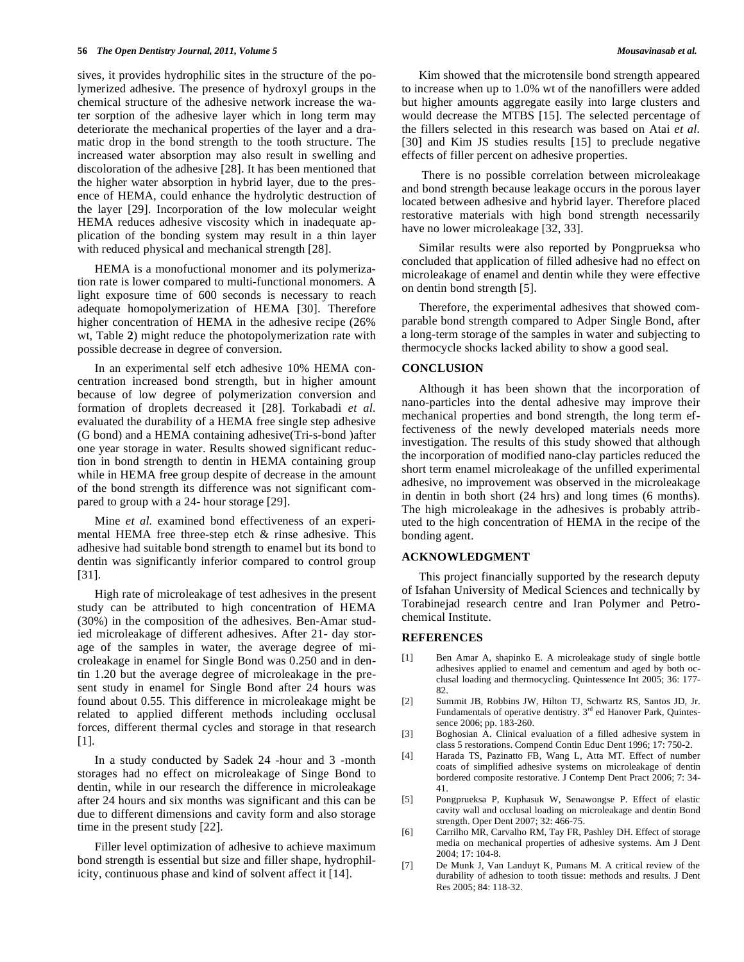sives, it provides hydrophilic sites in the structure of the polymerized adhesive. The presence of hydroxyl groups in the chemical structure of the adhesive network increase the water sorption of the adhesive layer which in long term may deteriorate the mechanical properties of the layer and a dramatic drop in the bond strength to the tooth structure. The increased water absorption may also result in swelling and discoloration of the adhesive [28]. It has been mentioned that the higher water absorption in hybrid layer, due to the presence of HEMA, could enhance the hydrolytic destruction of the layer [29]. Incorporation of the low molecular weight HEMA reduces adhesive viscosity which in inadequate application of the bonding system may result in a thin layer with reduced physical and mechanical strength [28].

HEMA is a monofuctional monomer and its polymerization rate is lower compared to multi-functional monomers. A light exposure time of 600 seconds is necessary to reach adequate homopolymerization of HEMA [30]. Therefore higher concentration of HEMA in the adhesive recipe (26% wt, Table **2**) might reduce the photopolymerization rate with possible decrease in degree of conversion.

In an experimental self etch adhesive 10% HEMA concentration increased bond strength, but in higher amount because of low degree of polymerization conversion and formation of droplets decreased it [28]. Torkabadi *et al.* evaluated the durability of a HEMA free single step adhesive (G bond) and a HEMA containing adhesive(Tri-s-bond )after one year storage in water. Results showed significant reduction in bond strength to dentin in HEMA containing group while in HEMA free group despite of decrease in the amount of the bond strength its difference was not significant compared to group with a 24- hour storage [29].

Mine *et al.* examined bond effectiveness of an experimental HEMA free three-step etch  $\&$  rinse adhesive. This adhesive had suitable bond strength to enamel but its bond to dentin was significantly inferior compared to control group [31].

High rate of microleakage of test adhesives in the present study can be attributed to high concentration of HEMA (30%) in the composition of the adhesives. Ben-Amar studied microleakage of different adhesives. After 21- day storage of the samples in water, the average degree of microleakage in enamel for Single Bond was 0.250 and in dentin 1.20 but the average degree of microleakage in the present study in enamel for Single Bond after 24 hours was found about 0.55. This difference in microleakage might be related to applied different methods including occlusal forces, different thermal cycles and storage in that research [1].

In a study conducted by Sadek 24 -hour and 3 -month storages had no effect on microleakage of Singe Bond to dentin, while in our research the difference in microleakage after 24 hours and six months was significant and this can be due to different dimensions and cavity form and also storage time in the present study [22].

Filler level optimization of adhesive to achieve maximum bond strength is essential but size and filler shape, hydrophilicity, continuous phase and kind of solvent affect it [14].

Kim showed that the microtensile bond strength appeared to increase when up to 1.0% wt of the nanofillers were added but higher amounts aggregate easily into large clusters and would decrease the MTBS [15]. The selected percentage of the fillers selected in this research was based on Atai *et al.* [30] and Kim JS studies results [15] to preclude negative effects of filler percent on adhesive properties.

 There is no possible correlation between microleakage and bond strength because leakage occurs in the porous layer located between adhesive and hybrid layer. Therefore placed restorative materials with high bond strength necessarily have no lower microleakage [32, 33].

Similar results were also reported by Pongprueksa who concluded that application of filled adhesive had no effect on microleakage of enamel and dentin while they were effective on dentin bond strength [5].

Therefore, the experimental adhesives that showed comparable bond strength compared to Adper Single Bond, after a long-term storage of the samples in water and subjecting to thermocycle shocks lacked ability to show a good seal.

#### **CONCLUSION**

Although it has been shown that the incorporation of nano-particles into the dental adhesive may improve their mechanical properties and bond strength, the long term effectiveness of the newly developed materials needs more investigation. The results of this study showed that although the incorporation of modified nano-clay particles reduced the short term enamel microleakage of the unfilled experimental adhesive, no improvement was observed in the microleakage in dentin in both short (24 hrs) and long times (6 months). The high microleakage in the adhesives is probably attributed to the high concentration of HEMA in the recipe of the bonding agent.

## **ACKNOWLEDGMENT**

This project financially supported by the research deputy of Isfahan University of Medical Sciences and technically by Torabinejad research centre and Iran Polymer and Petrochemical Institute.

#### **REFERENCES**

- [1] Ben Amar A, shapinko E. A microleakage study of single bottle adhesives applied to enamel and cementum and aged by both occlusal loading and thermocycling. Quintessence Int 2005; 36: 177- 82.
- [2] Summit JB, Robbins JW, Hilton TJ, Schwartz RS, Santos JD, Jr. Fundamentals of operative dentistry.  $3<sup>rd</sup>$  ed Hanover Park, Quintessence 2006; pp. 183-260.
- [3] Boghosian A. Clinical evaluation of a filled adhesive system in class 5 restorations. Compend Contin Educ Dent 1996; 17: 750-2.
- [4] Harada TS, Pazinatto FB, Wang L, Atta MT. Effect of number coats of simplified adhesive systems on microleakage of dentin bordered composite restorative. J Contemp Dent Pract 2006; 7: 34- 41.
- [5] Pongprueksa P, Kuphasuk W, Senawongse P. Effect of elastic cavity wall and occlusal loading on microleakage and dentin Bond strength. Oper Dent 2007; 32: 466-75.
- [6] Carrilho MR, Carvalho RM, Tay FR, Pashley DH. Effect of storage media on mechanical properties of adhesive systems. Am J Dent  $2004:17:104-8$
- [7] De Munk J, Van Landuyt K, Pumans M. A critical review of the durability of adhesion to tooth tissue: methods and results. J Dent Res 2005; 84: 118-32.